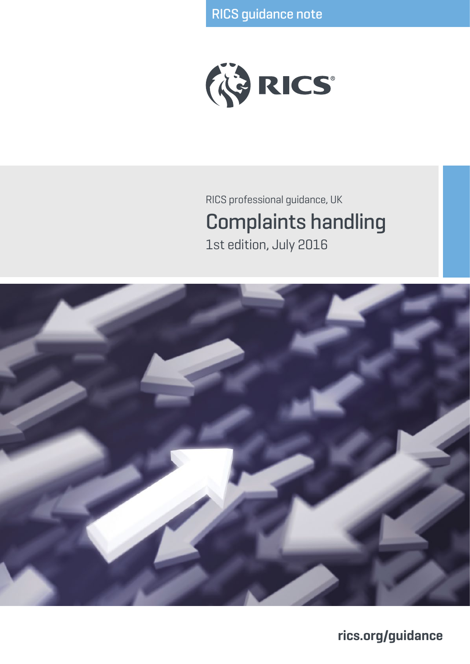RICS guidance note



RICS professional guidance, UK Complaints handling 1st edition, July 2016



**rics.org/guidance**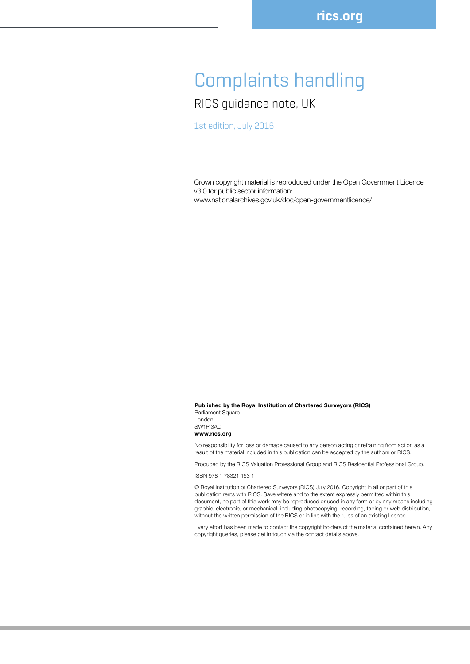### Complaints handling

RICS guidance note, UK

1st edition, July 2016

Crown copyright material is reproduced under the Open Government Licence v3.0 for public sector information: www.nationalarchives.gov.uk/doc/open-governmentlicence/

Published by the Royal Institution of Chartered Surveyors (RICS) Parliament Square London SW1P 3AD www.rics.org

No responsibility for loss or damage caused to any person acting or refraining from action as a result of the material included in this publication can be accepted by the authors or RICS.

Produced by the RICS Valuation Professional Group and RICS Residential Professional Group.

ISBN 978 1 78321 153 1

© Royal Institution of Chartered Surveyors (RICS) July 2016. Copyright in all or part of this publication rests with RICS. Save where and to the extent expressly permitted within this document, no part of this work may be reproduced or used in any form or by any means including graphic, electronic, or mechanical, including photocopying, recording, taping or web distribution, without the written permission of the RICS or in line with the rules of an existing licence.

Every effort has been made to contact the copyright holders of the material contained herein. Any copyright queries, please get in touch via the contact details above.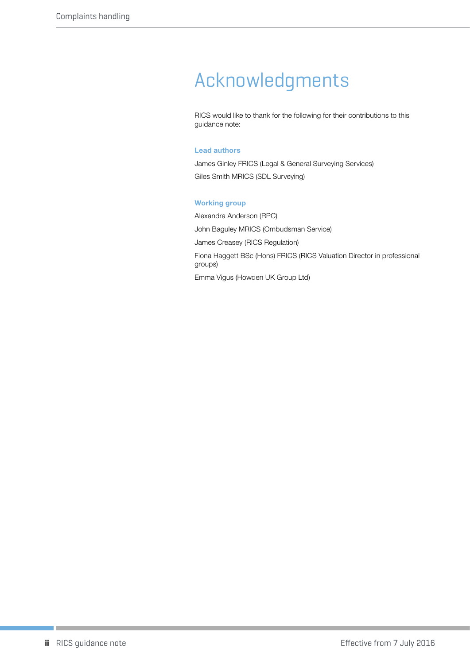## Acknowledgments

RICS would like to thank for the following for their contributions to this guidance note:

#### Lead authors

James Ginley FRICS (Legal & General Surveying Services) Giles Smith MRICS (SDL Surveying)

### Working group

Alexandra Anderson (RPC) John Baguley MRICS (Ombudsman Service) James Creasey (RICS Regulation) Fiona Haggett BSc (Hons) FRICS (RICS Valuation Director in professional groups) Emma Vigus (Howden UK Group Ltd)

**ii** RICS quidance note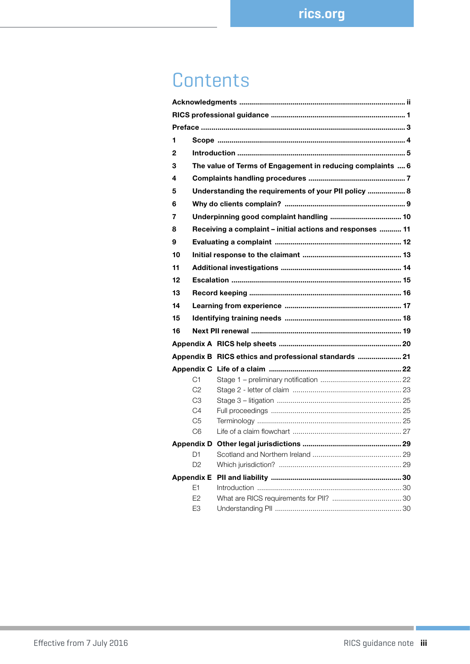## **Contents**

| 1                 |                                                            |                                                       |  |  |
|-------------------|------------------------------------------------------------|-------------------------------------------------------|--|--|
| 2                 |                                                            |                                                       |  |  |
| 3                 | The value of Terms of Engagement in reducing complaints  6 |                                                       |  |  |
| 4                 |                                                            |                                                       |  |  |
| 5                 | Understanding the requirements of your PII policy  8       |                                                       |  |  |
| 6                 |                                                            |                                                       |  |  |
| 7                 |                                                            |                                                       |  |  |
| 8                 | Receiving a complaint - initial actions and responses  11  |                                                       |  |  |
| 9                 |                                                            |                                                       |  |  |
| 10                |                                                            |                                                       |  |  |
| 11                |                                                            |                                                       |  |  |
| 12                |                                                            |                                                       |  |  |
| 13                |                                                            |                                                       |  |  |
| 14                |                                                            |                                                       |  |  |
| 15                |                                                            |                                                       |  |  |
| 16                |                                                            |                                                       |  |  |
|                   |                                                            |                                                       |  |  |
|                   |                                                            | Appendix B RICS ethics and professional standards  21 |  |  |
|                   |                                                            |                                                       |  |  |
|                   | C1                                                         |                                                       |  |  |
|                   | C2                                                         |                                                       |  |  |
|                   | C <sub>3</sub>                                             |                                                       |  |  |
|                   | C <sub>4</sub>                                             |                                                       |  |  |
|                   | C5                                                         |                                                       |  |  |
|                   | C6                                                         |                                                       |  |  |
|                   |                                                            |                                                       |  |  |
|                   | D1                                                         |                                                       |  |  |
|                   | D <sub>2</sub>                                             |                                                       |  |  |
| <b>Appendix E</b> |                                                            |                                                       |  |  |
|                   | E1                                                         |                                                       |  |  |
|                   | E <sub>2</sub>                                             |                                                       |  |  |
|                   | E3                                                         |                                                       |  |  |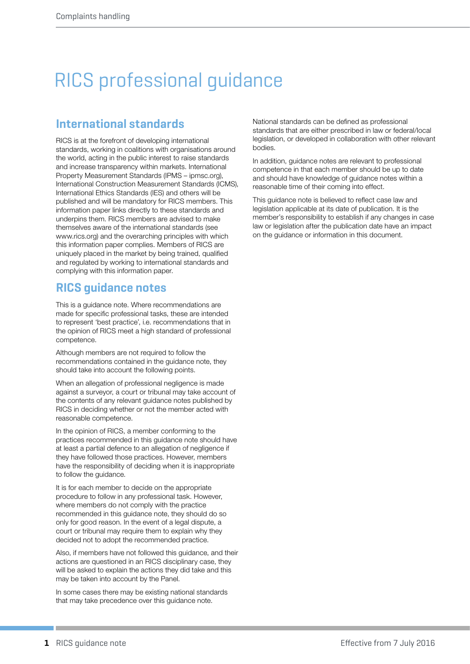# <span id="page-4-0"></span>RICS professional guidance

### **International standards**

RICS is at the forefront of developing international standards, working in coalitions with organisations around the world, acting in the public interest to raise standards and increase transparency within markets. International Property Measurement Standards (IPMS – ipmsc.org), International Construction Measurement Standards (ICMS), International Ethics Standards (IES) and others will be published and will be mandatory for RICS members. This information paper links directly to these standards and underpins them. RICS members are advised to make themselves aware of the international standards (see www.rics.org) and the overarching principles with which this information paper complies. Members of RICS are uniquely placed in the market by being trained, qualified and regulated by working to international standards and complying with this information paper.

### **RICS guidance notes**

This is a guidance note. Where recommendations are made for specific professional tasks, these are intended to represent 'best practice', i.e. recommendations that in the opinion of RICS meet a high standard of professional competence.

Although members are not required to follow the recommendations contained in the guidance note, they should take into account the following points.

When an allegation of professional negligence is made against a surveyor, a court or tribunal may take account of the contents of any relevant guidance notes published by RICS in deciding whether or not the member acted with reasonable competence.

In the opinion of RICS, a member conforming to the practices recommended in this guidance note should have at least a partial defence to an allegation of negligence if they have followed those practices. However, members have the responsibility of deciding when it is inappropriate to follow the guidance.

It is for each member to decide on the appropriate procedure to follow in any professional task. However, where members do not comply with the practice recommended in this guidance note, they should do so only for good reason. In the event of a legal dispute, a court or tribunal may require them to explain why they decided not to adopt the recommended practice.

Also, if members have not followed this guidance, and their actions are questioned in an RICS disciplinary case, they will be asked to explain the actions they did take and this may be taken into account by the Panel.

In some cases there may be existing national standards that may take precedence over this guidance note.

National standards can be defined as professional standards that are either prescribed in law or federal/local legislation, or developed in collaboration with other relevant bodies.

In addition, guidance notes are relevant to professional competence in that each member should be up to date and should have knowledge of guidance notes within a reasonable time of their coming into effect.

This guidance note is believed to reflect case law and legislation applicable at its date of publication. It is the member's responsibility to establish if any changes in case law or legislation after the publication date have an impact on the guidance or information in this document.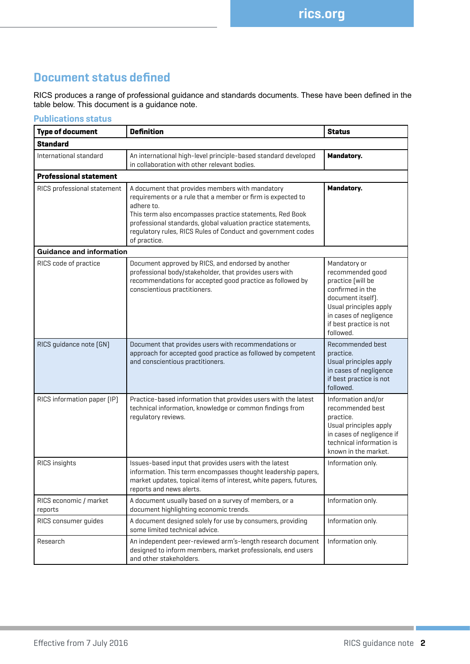### **Document status defined**

**Publications status**

RICS produces a range of professional guidance and standards documents. These have been defined in the table below. This document is a guidance note.

| <b>Type of document</b>           | <b>Definition</b>                                                                                                                                                                                                                                                                                                                         | <b>Status</b>                                                                                                                                                                              |
|-----------------------------------|-------------------------------------------------------------------------------------------------------------------------------------------------------------------------------------------------------------------------------------------------------------------------------------------------------------------------------------------|--------------------------------------------------------------------------------------------------------------------------------------------------------------------------------------------|
| <b>Standard</b>                   |                                                                                                                                                                                                                                                                                                                                           |                                                                                                                                                                                            |
| International standard            | An international high-level principle-based standard developed<br>in collaboration with other relevant bodies.                                                                                                                                                                                                                            | Mandatory.                                                                                                                                                                                 |
| <b>Professional statement</b>     |                                                                                                                                                                                                                                                                                                                                           |                                                                                                                                                                                            |
| RICS professional statement       | A document that provides members with mandatory<br>requirements or a rule that a member or firm is expected to<br>adhere to.<br>This term also encompasses practice statements, Red Book<br>professional standards, global valuation practice statements,<br>regulatory rules, RICS Rules of Conduct and government codes<br>of practice. | Mandatory.                                                                                                                                                                                 |
| <b>Guidance and information</b>   |                                                                                                                                                                                                                                                                                                                                           |                                                                                                                                                                                            |
| RICS code of practice             | Document approved by RICS, and endorsed by another<br>professional body/stakeholder, that provides users with<br>recommendations for accepted good practice as followed by<br>conscientious practitioners.                                                                                                                                | Mandatory or<br>recommended good<br>practice [will be<br>confirmed in the<br>document itself).<br>Usual principles apply<br>in cases of negligence<br>if best practice is not<br>followed. |
| RICS guidance note [GN]           | Document that provides users with recommendations or<br>approach for accepted good practice as followed by competent<br>and conscientious practitioners.                                                                                                                                                                                  | Recommended best<br>practice.<br>Usual principles apply<br>in cases of negligence<br>if best practice is not<br>followed.                                                                  |
| RICS information paper [IP]       | Practice-based information that provides users with the latest<br>technical information, knowledge or common findings from<br>regulatory reviews.                                                                                                                                                                                         | Information and/or<br>recommended best<br>practice.<br>Usual principles apply<br>in cases of negligence if<br>technical information is<br>known in the market.                             |
| RICS insights                     | Issues-based input that provides users with the latest<br>information. This term encompasses thought leadership papers,<br>market updates, topical items of interest, white papers, futures,<br>reports and news alerts.                                                                                                                  | Information only.                                                                                                                                                                          |
| RICS economic / market<br>reports | A document usually based on a survey of members, or a<br>document highlighting economic trends.                                                                                                                                                                                                                                           | Information only.                                                                                                                                                                          |
| RICS consumer guides              | A document designed solely for use by consumers, providing<br>some limited technical advice.                                                                                                                                                                                                                                              | Information only.                                                                                                                                                                          |
| Research                          | An independent peer-reviewed arm's-length research document<br>designed to inform members, market professionals, end users<br>and other stakeholders.                                                                                                                                                                                     | Information only.                                                                                                                                                                          |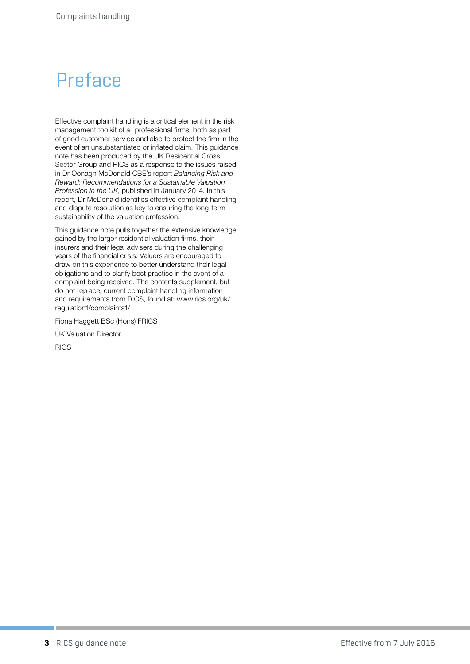## <span id="page-6-0"></span>Preface

Effective complaint handling is a critical element in the risk management toolkit of all professional firms, both as part of good customer service and also to protect the firm in the event of an unsubstantiated or inflated claim. This guidance note has been produced by the UK Residential Cross Sector Group and RICS as a response to the issues raised in Dr Oonagh McDonald CBE's report *Balancing Risk and Reward: Recommendations for a Sustainable Valuation Profession in the UK*, published in January 2014. In this report, Dr McDonald identifies effective complaint handling and dispute resolution as key to ensuring the long-term sustainability of the valuation profession.

This guidance note pulls together the extensive knowledge gained by the larger residential valuation firms, their insurers and their legal advisers during the challenging years of the financial crisis. Valuers are encouraged to draw on this experience to better understand their legal obligations and to clarify best practice in the event of a complaint being received. The contents supplement, but do not replace, current complaint handling information and requirements from RICS, found at: www.rics.org/uk/ regulation1/complaints1/

Fiona Haggett BSc (Hons) FRICS

UK Valuation Director

**RICS**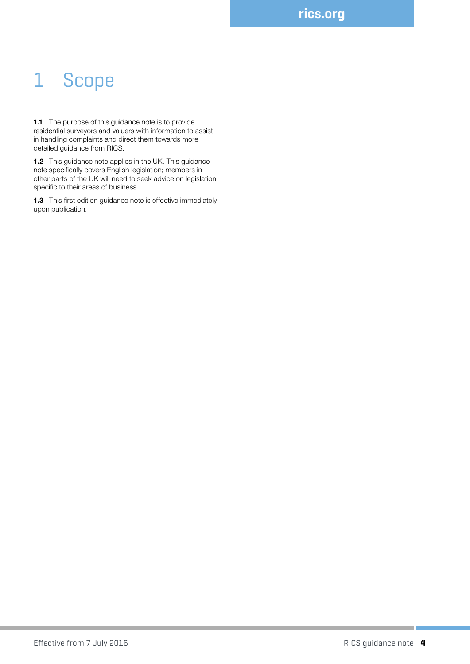Complaints handling **rics.org**

## <span id="page-7-0"></span>1 Scope

**1.1** The purpose of this guidance note is to provide residential surveyors and valuers with information to assist in handling complaints and direct them towards more detailed guidance from RICS.

**1.2** This guidance note applies in the UK. This guidance note specifically covers English legislation; members in other parts of the UK will need to seek advice on legislation specific to their areas of business.

**1.3** This first edition guidance note is effective immediately upon publication.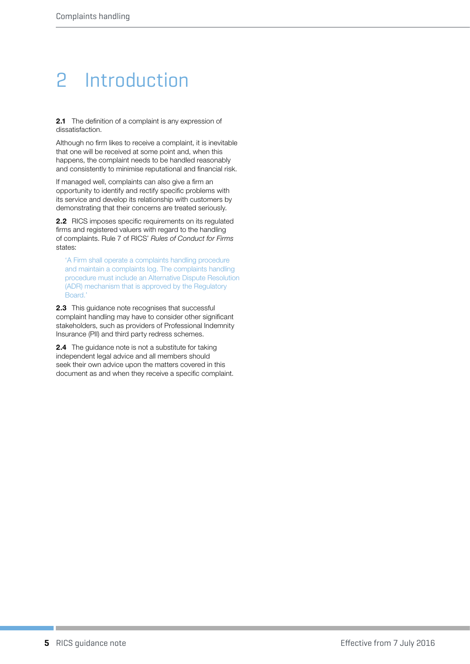## <span id="page-8-0"></span>2 Introduction

2.1 The definition of a complaint is any expression of dissatisfaction.

Although no firm likes to receive a complaint, it is inevitable that one will be received at some point and, when this happens, the complaint needs to be handled reasonably and consistently to minimise reputational and financial risk.

If managed well, complaints can also give a firm an opportunity to identify and rectify specific problems with its service and develop its relationship with customers by demonstrating that their concerns are treated seriously.

2.2 RICS imposes specific requirements on its requiated firms and registered valuers with regard to the handling of complaints. Rule 7 of RICS' *Rules of Conduct for Firms*  states:

'A Firm shall operate a complaints handling procedure and maintain a complaints log. The complaints handling procedure must include an Alternative Dispute Resolution (ADR) mechanism that is approved by the Regulatory Board.'

2.3 This guidance note recognises that successful complaint handling may have to consider other significant stakeholders, such as providers of Professional Indemnity Insurance (PII) and third party redress schemes.

2.4 The guidance note is not a substitute for taking independent legal advice and all members should seek their own advice upon the matters covered in this document as and when they receive a specific complaint.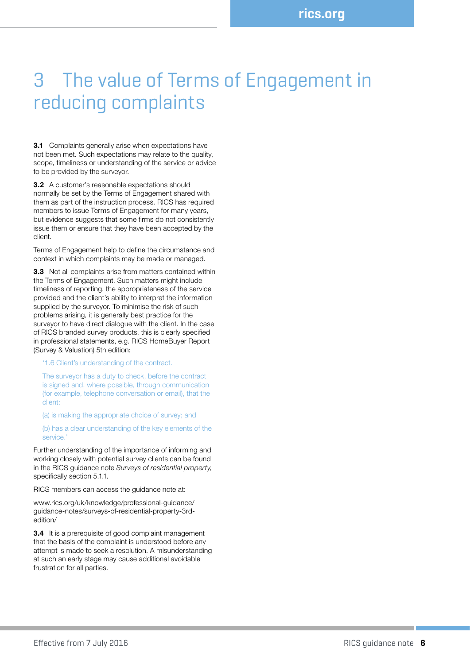## <span id="page-9-0"></span>3 The value of Terms of Engagement in reducing complaints

**3.1** Complaints generally arise when expectations have not been met. Such expectations may relate to the quality, scope, timeliness or understanding of the service or advice to be provided by the surveyor.

3.2 A customer's reasonable expectations should normally be set by the Terms of Engagement shared with them as part of the instruction process. RICS has required members to issue Terms of Engagement for many years, but evidence suggests that some firms do not consistently issue them or ensure that they have been accepted by the client.

Terms of Engagement help to define the circumstance and context in which complaints may be made or managed.

3.3 Not all complaints arise from matters contained within the Terms of Engagement. Such matters might include timeliness of reporting, the appropriateness of the service provided and the client's ability to interpret the information supplied by the surveyor. To minimise the risk of such problems arising, it is generally best practice for the surveyor to have direct dialogue with the client. In the case of RICS branded survey products, this is clearly specified in professional statements, e.g. RICS HomeBuyer Report (Survey & Valuation) 5th edition:

'1.6 Client's understanding of the contract.

The surveyor has a duty to check, before the contract is signed and, where possible, through communication (for example, telephone conversation or email), that the client:

(a) is making the appropriate choice of survey; and

(b) has a clear understanding of the key elements of the service.'

Further understanding of the importance of informing and working closely with potential survey clients can be found in the RICS guidance note *Surveys of residential property*, specifically section 5.1.1.

RICS members can access the guidance note at:

www.rics.org/uk/knowledge/professional-guidance/ guidance-notes/surveys-of-residential-property-3rdedition/

**3.4** It is a prerequisite of good complaint management that the basis of the complaint is understood before any attempt is made to seek a resolution. A misunderstanding at such an early stage may cause additional avoidable frustration for all parties.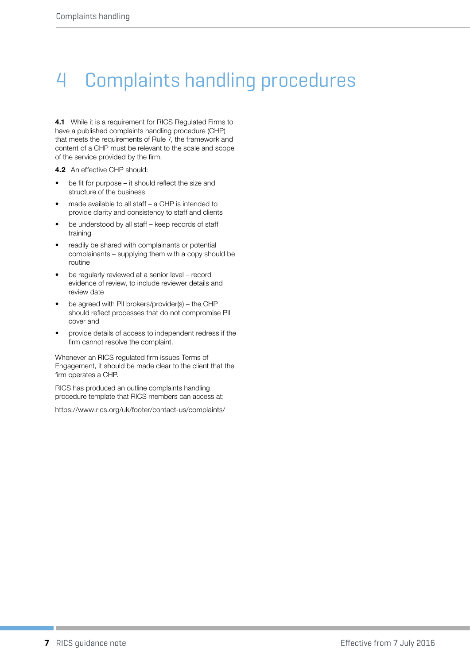## <span id="page-10-0"></span>4 Complaints handling procedures

4.1 While it is a requirement for RICS Requlated Firms to have a published complaints handling procedure (CHP) that meets the requirements of Rule 7, the framework and content of a CHP must be relevant to the scale and scope of the service provided by the firm.

4.2 An effective CHP should:

- be fit for purpose  $-$  it should reflect the size and structure of the business
- made available to all staff a CHP is intended to provide clarity and consistency to staff and clients
- be understood by all staff keep records of staff training
- readily be shared with complainants or potential complainants – supplying them with a copy should be routine
- be regularly reviewed at a senior level record evidence of review, to include reviewer details and review date
- be agreed with PII brokers/provider(s) the CHP should reflect processes that do not compromise PII cover and
- provide details of access to independent redress if the firm cannot resolve the complaint.

Whenever an RICS regulated firm issues Terms of Engagement, it should be made clear to the client that the firm operates a CHP.

RICS has produced an outline complaints handling procedure template that RICS members can access at:

https://www.rics.org/uk/footer/contact-us/complaints/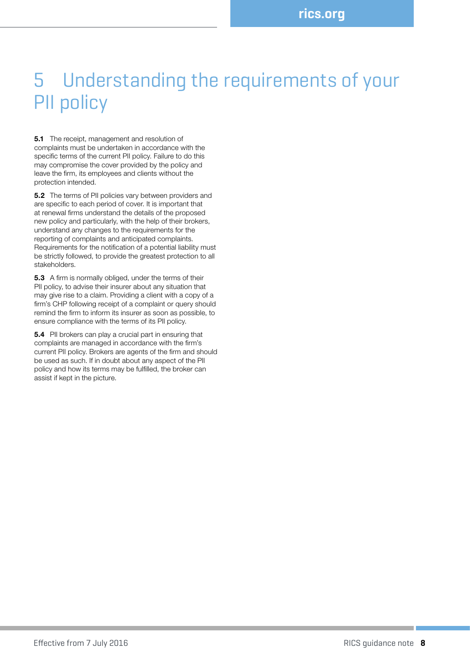## <span id="page-11-0"></span>5 Understanding the requirements of your PII policy

**5.1** The receipt, management and resolution of complaints must be undertaken in accordance with the specific terms of the current PII policy. Failure to do this may compromise the cover provided by the policy and leave the firm, its employees and clients without the protection intended.

**5.2** The terms of PII policies vary between providers and are specific to each period of cover. It is important that at renewal firms understand the details of the proposed new policy and particularly, with the help of their brokers, understand any changes to the requirements for the reporting of complaints and anticipated complaints. Requirements for the notification of a potential liability must be strictly followed, to provide the greatest protection to all stakeholders.

**5.3** A firm is normally obliged, under the terms of their PII policy, to advise their insurer about any situation that may give rise to a claim. Providing a client with a copy of a firm's CHP following receipt of a complaint or query should remind the firm to inform its insurer as soon as possible, to ensure compliance with the terms of its PII policy.

**5.4** PII brokers can play a crucial part in ensuring that complaints are managed in accordance with the firm's current PII policy. Brokers are agents of the firm and should be used as such. If in doubt about any aspect of the PII policy and how its terms may be fulfilled, the broker can assist if kept in the picture.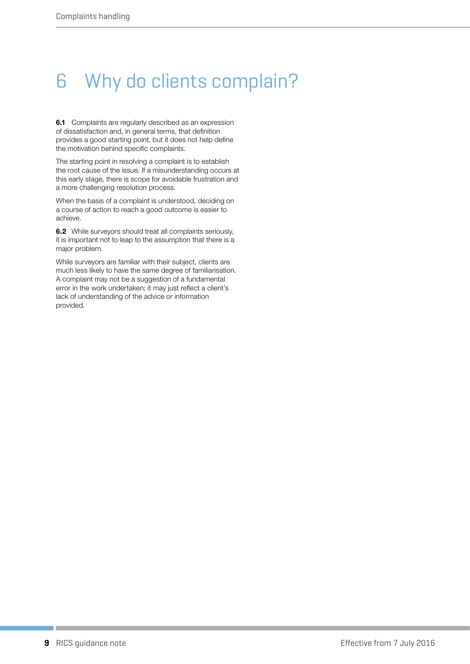## <span id="page-12-0"></span>6 Why do clients complain?

**6.1** Complaints are regularly described as an expression of dissatisfaction and, in general terms, that definition provides a good starting point, but it does not help define the motivation behind specific complaints.

The starting point in resolving a complaint is to establish the root cause of the issue. If a misunderstanding occurs at this early stage, there is scope for avoidable frustration and a more challenging resolution process.

When the basis of a complaint is understood, deciding on a course of action to reach a good outcome is easier to achieve.

6.2 While surveyors should treat all complaints seriously, it is important not to leap to the assumption that there is a major problem.

While surveyors are familiar with their subject, clients are much less likely to have the same degree of familiarisation. A complaint may not be a suggestion of a fundamental error in the work undertaken; it may just reflect a client's lack of understanding of the advice or information provided.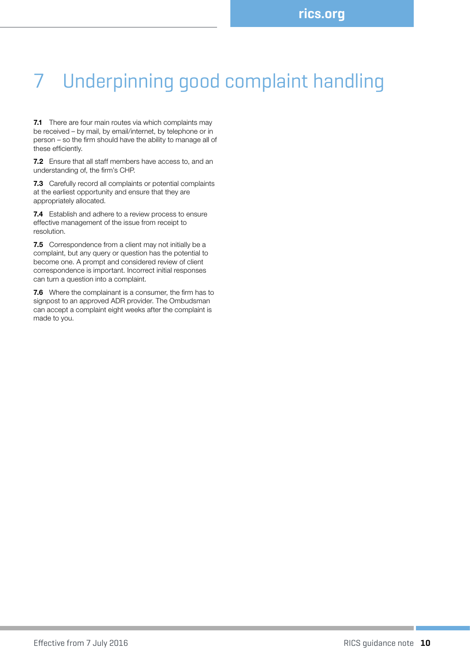# <span id="page-13-0"></span>7 Underpinning good complaint handling

7.1 There are four main routes via which complaints may be received – by mail, by email/internet, by telephone or in person – so the firm should have the ability to manage all of these efficiently.

7.2 Ensure that all staff members have access to, and an understanding of, the firm's CHP.

7.3 Carefully record all complaints or potential complaints at the earliest opportunity and ensure that they are appropriately allocated.

7.4 Establish and adhere to a review process to ensure effective management of the issue from receipt to resolution.

7.5 Correspondence from a client may not initially be a complaint, but any query or question has the potential to become one. A prompt and considered review of client correspondence is important. Incorrect initial responses can turn a question into a complaint.

7.6 Where the complainant is a consumer, the firm has to signpost to an approved ADR provider. The Ombudsman can accept a complaint eight weeks after the complaint is made to you.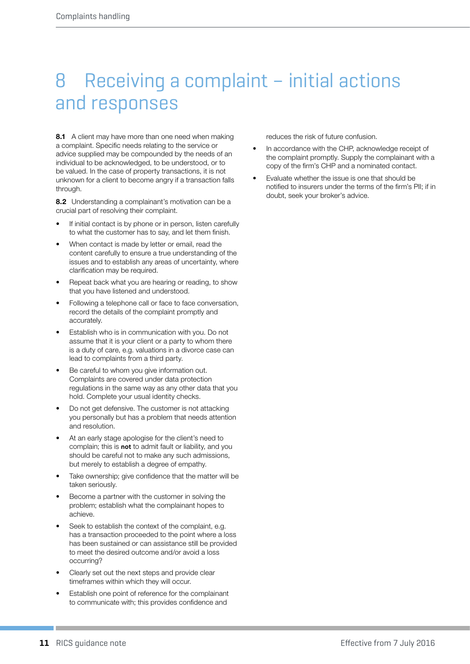## <span id="page-14-0"></span>8 Receiving a complaint – initial actions and responses

8.1 A client may have more than one need when making a complaint. Specific needs relating to the service or advice supplied may be compounded by the needs of an individual to be acknowledged, to be understood, or to be valued. In the case of property transactions, it is not unknown for a client to become angry if a transaction falls through.

8.2 Understanding a complainant's motivation can be a crucial part of resolving their complaint.

- If initial contact is by phone or in person, listen carefully to what the customer has to say, and let them finish.
- When contact is made by letter or email, read the content carefully to ensure a true understanding of the issues and to establish any areas of uncertainty, where clarification may be required.
- Repeat back what you are hearing or reading, to show that you have listened and understood.
- Following a telephone call or face to face conversation, record the details of the complaint promptly and accurately.
- Establish who is in communication with you. Do not assume that it is your client or a party to whom there is a duty of care, e.g. valuations in a divorce case can lead to complaints from a third party.
- Be careful to whom you give information out. Complaints are covered under data protection regulations in the same way as any other data that you hold. Complete your usual identity checks.
- Do not get defensive. The customer is not attacking you personally but has a problem that needs attention and resolution.
- At an early stage apologise for the client's need to complain; this is **not** to admit fault or liability, and you should be careful not to make any such admissions, but merely to establish a degree of empathy.
- Take ownership; give confidence that the matter will be taken seriously.
- Become a partner with the customer in solving the problem; establish what the complainant hopes to achieve.
- Seek to establish the context of the complaint, e.g. has a transaction proceeded to the point where a loss has been sustained or can assistance still be provided to meet the desired outcome and/or avoid a loss occurring?
- Clearly set out the next steps and provide clear timeframes within which they will occur.
- Establish one point of reference for the complainant to communicate with; this provides confidence and

reduces the risk of future confusion.

- In accordance with the CHP, acknowledge receipt of the complaint promptly. Supply the complainant with a copy of the firm's CHP and a nominated contact.
- Evaluate whether the issue is one that should be notified to insurers under the terms of the firm's PII; if in doubt, seek your broker's advice.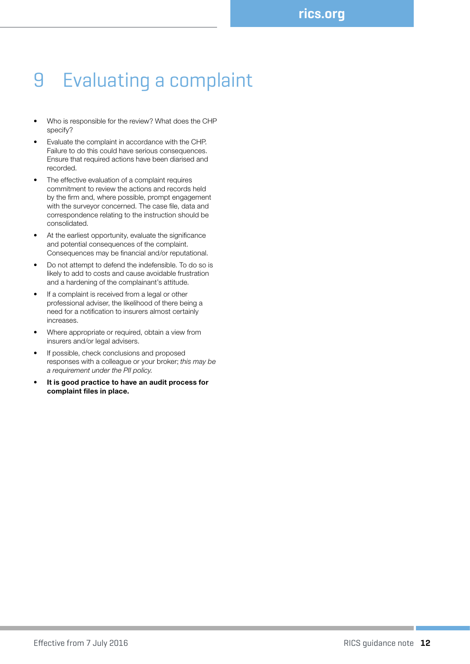## <span id="page-15-0"></span>9 Evaluating a complaint

- Who is responsible for the review? What does the CHP specify?
- Evaluate the complaint in accordance with the CHP. Failure to do this could have serious consequences. Ensure that required actions have been diarised and recorded.
- The effective evaluation of a complaint requires commitment to review the actions and records held by the firm and, where possible, prompt engagement with the surveyor concerned. The case file, data and correspondence relating to the instruction should be consolidated.
- At the earliest opportunity, evaluate the significance and potential consequences of the complaint. Consequences may be financial and/or reputational.
- Do not attempt to defend the indefensible. To do so is likely to add to costs and cause avoidable frustration and a hardening of the complainant's attitude.
- If a complaint is received from a legal or other professional adviser, the likelihood of there being a need for a notification to insurers almost certainly increases.
- Where appropriate or required, obtain a view from insurers and/or legal advisers.
- If possible, check conclusions and proposed responses with a colleague or your broker; *this may be a requirement under the PII policy.*
- It is good practice to have an audit process for complaint files in place.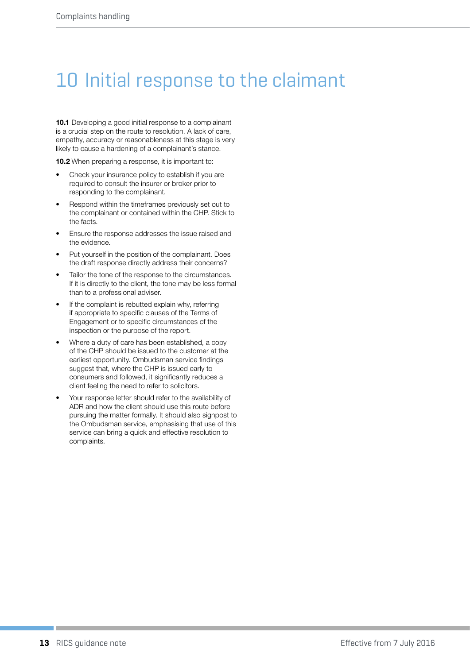## <span id="page-16-0"></span>10 Initial response to the claimant

10.1 Developing a good initial response to a complainant is a crucial step on the route to resolution. A lack of care, empathy, accuracy or reasonableness at this stage is very likely to cause a hardening of a complainant's stance.

10.2 When preparing a response, it is important to:

- Check your insurance policy to establish if you are required to consult the insurer or broker prior to responding to the complainant.
- Respond within the timeframes previously set out to the complainant or contained within the CHP. Stick to the facts.
- Ensure the response addresses the issue raised and the evidence.
- Put yourself in the position of the complainant. Does the draft response directly address their concerns?
- Tailor the tone of the response to the circumstances. If it is directly to the client, the tone may be less formal than to a professional adviser.
- If the complaint is rebutted explain why, referring if appropriate to specific clauses of the Terms of Engagement or to specific circumstances of the inspection or the purpose of the report.
- Where a duty of care has been established, a copy of the CHP should be issued to the customer at the earliest opportunity. Ombudsman service findings suggest that, where the CHP is issued early to consumers and followed, it significantly reduces a client feeling the need to refer to solicitors.
- Your response letter should refer to the availability of ADR and how the client should use this route before pursuing the matter formally. It should also signpost to the Ombudsman service, emphasising that use of this service can bring a quick and effective resolution to complaints.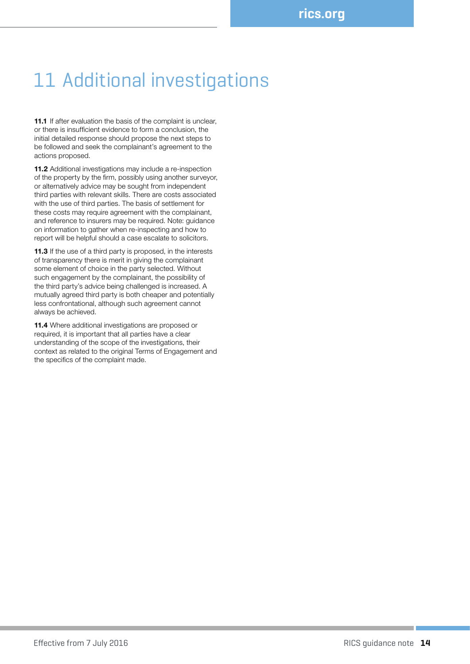## <span id="page-17-0"></span>11 Additional investigations

11.1 If after evaluation the basis of the complaint is unclear, or there is insufficient evidence to form a conclusion, the initial detailed response should propose the next steps to be followed and seek the complainant's agreement to the actions proposed.

11.2 Additional investigations may include a re-inspection of the property by the firm, possibly using another surveyor, or alternatively advice may be sought from independent third parties with relevant skills. There are costs associated with the use of third parties. The basis of settlement for these costs may require agreement with the complainant, and reference to insurers may be required. Note: guidance on information to gather when re-inspecting and how to report will be helpful should a case escalate to solicitors.

11.3 If the use of a third party is proposed, in the interests of transparency there is merit in giving the complainant some element of choice in the party selected. Without such engagement by the complainant, the possibility of the third party's advice being challenged is increased. A mutually agreed third party is both cheaper and potentially less confrontational, although such agreement cannot always be achieved.

11.4 Where additional investigations are proposed or required, it is important that all parties have a clear understanding of the scope of the investigations, their context as related to the original Terms of Engagement and the specifics of the complaint made.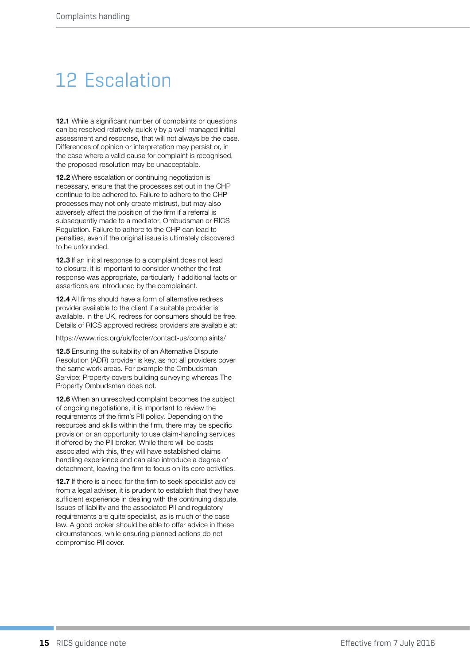## <span id="page-18-0"></span>12 Escalation

12.1 While a significant number of complaints or questions can be resolved relatively quickly by a well-managed initial assessment and response, that will not always be the case. Differences of opinion or interpretation may persist or, in the case where a valid cause for complaint is recognised, the proposed resolution may be unacceptable.

12.2 Where escalation or continuing negotiation is necessary, ensure that the processes set out in the CHP continue to be adhered to. Failure to adhere to the CHP processes may not only create mistrust, but may also adversely affect the position of the firm if a referral is subsequently made to a mediator, Ombudsman or RICS Regulation. Failure to adhere to the CHP can lead to penalties, even if the original issue is ultimately discovered to be unfounded.

12.3 If an initial response to a complaint does not lead to closure, it is important to consider whether the first response was appropriate, particularly if additional facts or assertions are introduced by the complainant.

12.4 All firms should have a form of alternative redress provider available to the client if a suitable provider is available. In the UK, redress for consumers should be free. Details of RICS approved redress providers are available at:

https://www.rics.org/uk/footer/contact-us/complaints/

12.5 Ensuring the suitability of an Alternative Dispute Resolution (ADR) provider is key, as not all providers cover the same work areas. For example the Ombudsman Service: Property covers building surveying whereas The Property Ombudsman does not.

12.6 When an unresolved complaint becomes the subject of ongoing negotiations, it is important to review the requirements of the firm's PII policy. Depending on the resources and skills within the firm, there may be specific provision or an opportunity to use claim-handling services if offered by the PII broker. While there will be costs associated with this, they will have established claims handling experience and can also introduce a degree of detachment, leaving the firm to focus on its core activities.

12.7 If there is a need for the firm to seek specialist advice from a legal adviser, it is prudent to establish that they have sufficient experience in dealing with the continuing dispute. Issues of liability and the associated PII and regulatory requirements are quite specialist, as is much of the case law. A good broker should be able to offer advice in these circumstances, while ensuring planned actions do not compromise PII cover.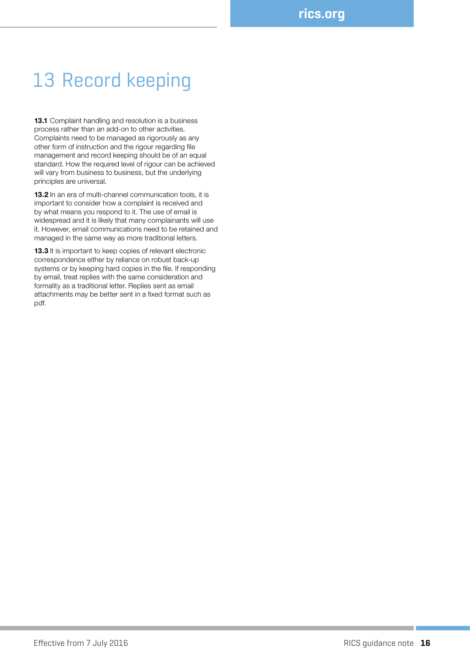## <span id="page-19-0"></span>13 Record keeping

13.1 Complaint handling and resolution is a business process rather than an add-on to other activities. Complaints need to be managed as rigorously as any other form of instruction and the rigour regarding file management and record keeping should be of an equal standard. How the required level of rigour can be achieved will vary from business to business, but the underlying principles are universal.

13.2 In an era of multi-channel communication tools, it is important to consider how a complaint is received and by what means you respond to it. The use of email is widespread and it is likely that many complainants will use it. However, email communications need to be retained and managed in the same way as more traditional letters.

13.3 It is important to keep copies of relevant electronic correspondence either by reliance on robust back-up systems or by keeping hard copies in the file. If responding by email, treat replies with the same consideration and formality as a traditional letter. Replies sent as email attachments may be better sent in a fixed format such as pdf.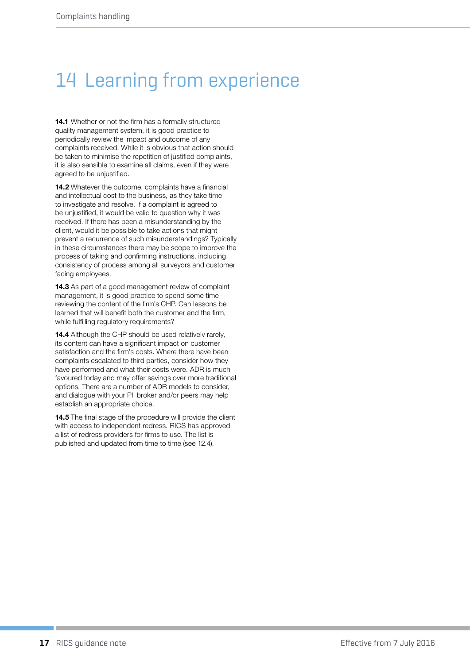## <span id="page-20-0"></span>14 Learning from experience

14.1 Whether or not the firm has a formally structured quality management system, it is good practice to periodically review the impact and outcome of any complaints received. While it is obvious that action should be taken to minimise the repetition of justified complaints, it is also sensible to examine all claims, even if they were agreed to be unjustified.

14.2 Whatever the outcome, complaints have a financial and intellectual cost to the business, as they take time to investigate and resolve. If a complaint is agreed to be unjustified, it would be valid to question why it was received. If there has been a misunderstanding by the client, would it be possible to take actions that might prevent a recurrence of such misunderstandings? Typically in these circumstances there may be scope to improve the process of taking and confirming instructions, including consistency of process among all surveyors and customer facing employees.

14.3 As part of a good management review of complaint management, it is good practice to spend some time reviewing the content of the firm's CHP. Can lessons be learned that will benefit both the customer and the firm, while fulfilling regulatory requirements?

14.4 Although the CHP should be used relatively rarely. its content can have a significant impact on customer satisfaction and the firm's costs. Where there have been complaints escalated to third parties, consider how they have performed and what their costs were. ADR is much favoured today and may offer savings over more traditional options. There are a number of ADR models to consider, and dialogue with your PII broker and/or peers may help establish an appropriate choice.

14.5 The final stage of the procedure will provide the client with access to independent redress. RICS has approved a list of redress providers for firms to use. The list is published and updated from time to time (see 12.4).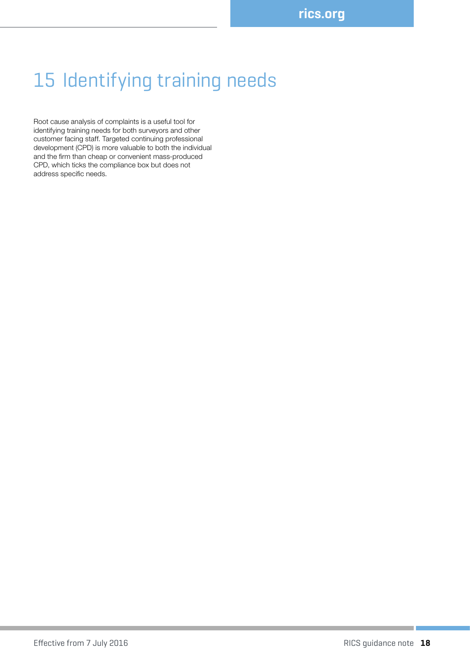## <span id="page-21-0"></span>15 Identifying training needs

Root cause analysis of complaints is a useful tool for identifying training needs for both surveyors and other customer facing staff. Targeted continuing professional development (CPD) is more valuable to both the individual and the firm than cheap or convenient mass-produced CPD, which ticks the compliance box but does not address specific needs.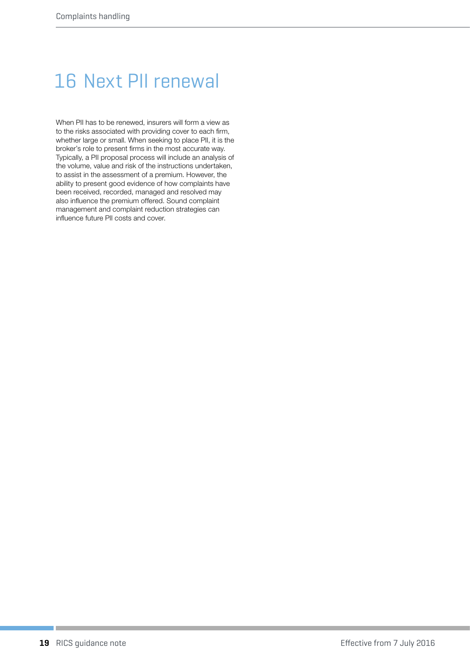## <span id="page-22-0"></span>16 Next PII renewal

When PII has to be renewed, insurers will form a view as to the risks associated with providing cover to each firm, whether large or small. When seeking to place PII, it is the broker's role to present firms in the most accurate way. Typically, a PII proposal process will include an analysis of the volume, value and risk of the instructions undertaken, to assist in the assessment of a premium. However, the ability to present good evidence of how complaints have been received, recorded, managed and resolved may also influence the premium offered. Sound complaint management and complaint reduction strategies can influence future PII costs and cover.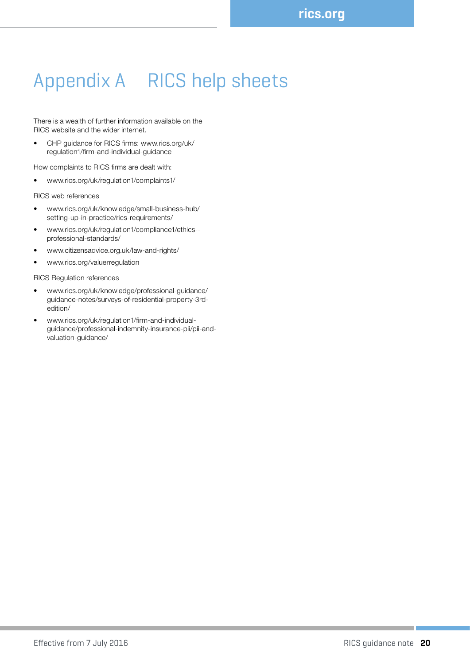## <span id="page-23-0"></span>Appendix A RICS help sheets

There is a wealth of further information available on the RICS website and the wider internet.

• CHP guidance for RICS firms: www.rics.org/uk/ regulation1/firm-and-individual-guidance

How complaints to RICS firms are dealt with:

• www.rics.org/uk/regulation1/complaints1/

RICS web references

- www.rics.org/uk/knowledge/small-business-hub/ setting-up-in-practice/rics-requirements/
- www.rics.org/uk/regulation1/compliance1/ethics- professional-standards/
- www.citizensadvice.org.uk/law-and-rights/
- www.rics.org/valuerregulation

RICS Regulation references

- www.rics.org/uk/knowledge/professional-guidance/ guidance-notes/surveys-of-residential-property-3rdedition/
- www.rics.org/uk/regulation1/firm-and-individualguidance/professional-indemnity-insurance-pii/pii-andvaluation-guidance/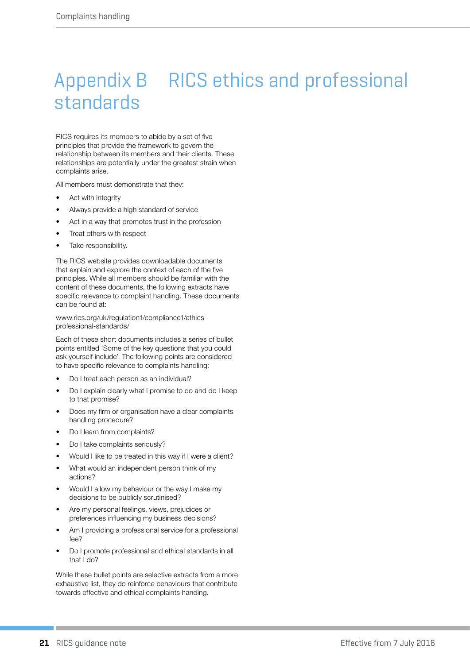## <span id="page-24-0"></span>Appendix B RICS ethics and professional standards

RICS requires its members to abide by a set of five principles that provide the framework to govern the relationship between its members and their clients. These relationships are potentially under the greatest strain when complaints arise.

All members must demonstrate that they:

- Act with integrity
- Always provide a high standard of service
- Act in a way that promotes trust in the profession
- Treat others with respect
- Take responsibility.

The RICS website provides downloadable documents that explain and explore the context of each of the five principles. While all members should be familiar with the content of these documents, the following extracts have specific relevance to complaint handling. These documents can be found at:

www.rics.org/uk/regulation1/compliance1/ethics- professional-standards/

Each of these short documents includes a series of bullet points entitled 'Some of the key questions that you could ask yourself include'. The following points are considered to have specific relevance to complaints handling:

- Do I treat each person as an individual?
- Do I explain clearly what I promise to do and do I keep to that promise?
- Does my firm or organisation have a clear complaints handling procedure?
- Do I learn from complaints?
- Do I take complaints seriously?
- Would I like to be treated in this way if I were a client?
- What would an independent person think of my actions?
- Would I allow my behaviour or the way I make my decisions to be publicly scrutinised?
- Are my personal feelings, views, prejudices or preferences influencing my business decisions?
- Am I providing a professional service for a professional fee?
- Do I promote professional and ethical standards in all that I do?

While these bullet points are selective extracts from a more exhaustive list, they do reinforce behaviours that contribute towards effective and ethical complaints handing.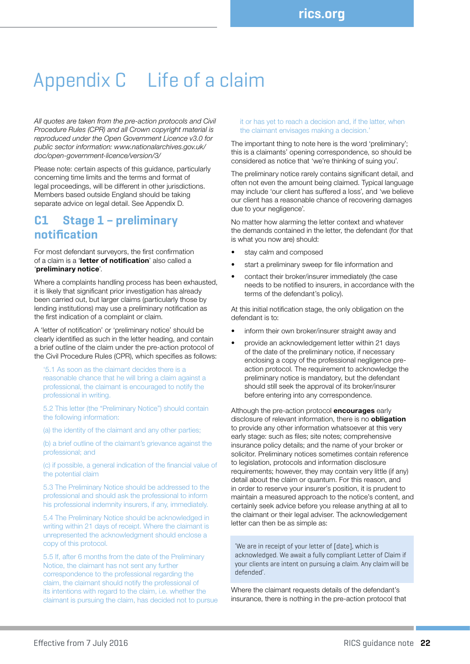## <span id="page-25-0"></span>Appendix C Life of a claim

*All quotes are taken from the pre-action protocols and Civil Procedure Rules (CPR) and all Crown copyright material is reproduced under the Open Government Licence v3.0 for public sector information: www.nationalarchives.gov.uk/ doc/open-government-licence/version/3/*

Please note: certain aspects of this guidance, particularly concerning time limits and the terms and format of legal proceedings, will be different in other jurisdictions. Members based outside England should be taking separate advice on legal detail. See Appendix D.

### **C1 Stage 1 – preliminary notification**

For most defendant surveyors, the first confirmation of a claim is a 'letter of notification' also called a 'preliminary notice'.

Where a complaints handling process has been exhausted, it is likely that significant prior investigation has already been carried out, but larger claims (particularly those by lending institutions) may use a preliminary notification as the first indication of a complaint or claim.

A 'letter of notification' or 'preliminary notice' should be clearly identified as such in the letter heading, and contain a brief outline of the claim under the pre-action protocol of the Civil Procedure Rules (CPR), which specifies as follows:

'5.1 As soon as the claimant decides there is a reasonable chance that he will bring a claim against a professional, the claimant is encouraged to notify the professional in writing.

5.2 This letter (the "Preliminary Notice") should contain the following information:

(a) the identity of the claimant and any other parties;

(b) a brief outline of the claimant's grievance against the professional; and

(c) if possible, a general indication of the financial value of the potential claim

5.3 The Preliminary Notice should be addressed to the professional and should ask the professional to inform his professional indemnity insurers, if any, immediately.

5.4 The Preliminary Notice should be acknowledged in writing within 21 days of receipt. Where the claimant is unrepresented the acknowledgment should enclose a copy of this protocol.

5.5 If, after 6 months from the date of the Preliminary Notice, the claimant has not sent any further correspondence to the professional regarding the claim, the claimant should notify the professional of its intentions with regard to the claim, i.e. whether the claimant is pursuing the claim, has decided not to pursue

#### it or has yet to reach a decision and, if the latter, when the claimant envisages making a decision.'

The important thing to note here is the word 'preliminary'; this is a claimants' opening correspondence, so should be considered as notice that 'we're thinking of suing you'.

The preliminary notice rarely contains significant detail, and often not even the amount being claimed. Typical language may include 'our client has suffered a loss', and 'we believe our client has a reasonable chance of recovering damages due to your negligence'.

No matter how alarming the letter context and whatever the demands contained in the letter, the defendant (for that is what you now are) should:

- stay calm and composed
- start a preliminary sweep for file information and
- contact their broker/insurer immediately (the case needs to be notified to insurers, in accordance with the terms of the defendant's policy).

At this initial notification stage, the only obligation on the defendant is to:

- inform their own broker/insurer straight away and
- provide an acknowledgement letter within 21 days of the date of the preliminary notice, if necessary enclosing a copy of the professional negligence preaction protocol. The requirement to acknowledge the preliminary notice is mandatory, but the defendant should still seek the approval of its broker/insurer before entering into any correspondence.

Although the pre-action protocol **encourages** early disclosure of relevant information, there is no **obligation** to provide any other information whatsoever at this very early stage: such as files; site notes; comprehensive insurance policy details; and the name of your broker or solicitor. Preliminary notices sometimes contain reference to legislation, protocols and information disclosure requirements; however, they may contain very little (if any) detail about the claim or quantum. For this reason, and in order to reserve your insurer's position, it is prudent to maintain a measured approach to the notice's content, and certainly seek advice before you release anything at all to the claimant or their legal adviser. The acknowledgement letter can then be as simple as:

'We are in receipt of your letter of [date], which is acknowledged. We await a fully compliant Letter of Claim if your clients are intent on pursuing a claim. Any claim will be defended'.

Where the claimant requests details of the defendant's insurance, there is nothing in the pre-action protocol that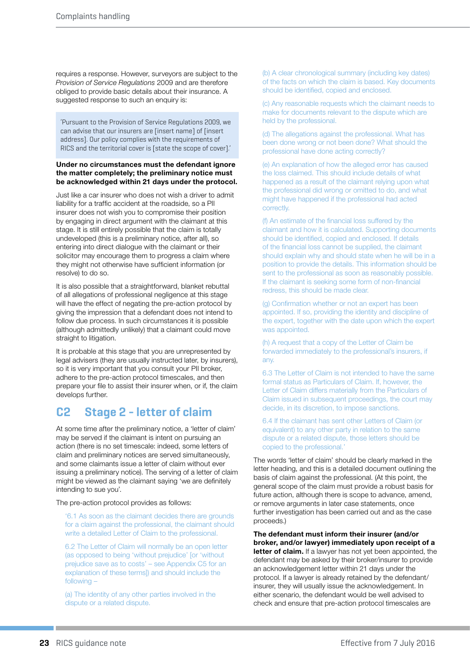<span id="page-26-0"></span>requires a response. However, surveyors are subject to the *Provision of Service Regulations* 2009 and are therefore obliged to provide basic details about their insurance. A suggested response to such an enquiry is:

'Pursuant to the Provision of Service Regulations 2009, we can advise that our insurers are [insert name] of [insert address]. Our policy complies with the requirements of RICS and the territorial cover is [state the scope of cover].'

#### Under no circumstances must the defendant ignore the matter completely; the preliminary notice must be acknowledged within 21 days under the protocol.

Just like a car insurer who does not wish a driver to admit liability for a traffic accident at the roadside, so a PII insurer does not wish you to compromise their position by engaging in direct argument with the claimant at this stage. It is still entirely possible that the claim is totally undeveloped (this is a preliminary notice, after all), so entering into direct dialogue with the claimant or their solicitor may encourage them to progress a claim where they might not otherwise have sufficient information (or resolve) to do so.

It is also possible that a straightforward, blanket rebuttal of all allegations of professional negligence at this stage will have the effect of negating the pre-action protocol by giving the impression that a defendant does not intend to follow due process. In such circumstances it is possible (although admittedly unlikely) that a claimant could move straight to litigation.

It is probable at this stage that you are unrepresented by legal advisers (they are usually instructed later, by insurers), so it is very important that you consult your PII broker, adhere to the pre-action protocol timescales, and then prepare your file to assist their insurer when, or if, the claim develops further.

### **C2 Stage 2 - letter of claim**

At some time after the preliminary notice, a 'letter of claim' may be served if the claimant is intent on pursuing an action (there is no set timescale: indeed, some letters of claim and preliminary notices are served simultaneously, and some claimants issue a letter of claim without ever issuing a preliminary notice). The serving of a letter of claim might be viewed as the claimant saying 'we are definitely intending to sue you'.

#### The pre-action protocol provides as follows:

'6.1 As soon as the claimant decides there are grounds for a claim against the professional, the claimant should write a detailed Letter of Claim to the professional.

6.2 The Letter of Claim will normally be an open letter (as opposed to being 'without prejudice' [or 'without prejudice save as to costs' – see Appendix C5 for an explanation of these terms]) and should include the following –

(a) The identity of any other parties involved in the dispute or a related dispute.

(b) A clear chronological summary (including key dates) of the facts on which the claim is based. Key documents should be identified, copied and enclosed.

(c) Any reasonable requests which the claimant needs to make for documents relevant to the dispute which are held by the professional.

(d) The allegations against the professional. What has been done wrong or not been done? What should the professional have done acting correctly?

(e) An explanation of how the alleged error has caused the loss claimed. This should include details of what happened as a result of the claimant relying upon what the professional did wrong or omitted to do, and what might have happened if the professional had acted correctly.

(f) An estimate of the financial loss suffered by the claimant and how it is calculated. Supporting documents should be identified, copied and enclosed. If details of the financial loss cannot be supplied, the claimant should explain why and should state when he will be in a position to provide the details. This information should be sent to the professional as soon as reasonably possible. If the claimant is seeking some form of non-financial redress, this should be made clear.

(g) Confirmation whether or not an expert has been appointed. If so, providing the identity and discipline of the expert, together with the date upon which the expert was appointed.

(h) A request that a copy of the Letter of Claim be forwarded immediately to the professional's insurers, if any.

6.3 The Letter of Claim is not intended to have the same formal status as Particulars of Claim. If, however, the Letter of Claim differs materially from the Particulars of Claim issued in subsequent proceedings, the court may decide, in its discretion, to impose sanctions.

6.4 If the claimant has sent other Letters of Claim (or equivalent) to any other party in relation to the same dispute or a related dispute, those letters should be copied to the professional.'

The words 'letter of claim' should be clearly marked in the letter heading, and this is a detailed document outlining the basis of claim against the professional. (At this point, the general scope of the claim must provide a robust basis for future action, although there is scope to advance, amend, or remove arguments in later case statements, once further investigation has been carried out and as the case proceeds.)

The defendant must inform their insurer (and/or broker, and/or lawyer) immediately upon receipt of a letter of claim. If a lawyer has not yet been appointed, the defendant may be asked by their broker/insurer to provide an acknowledgement letter within 21 days under the protocol. If a lawyer is already retained by the defendant/ insurer, they will usually issue the acknowledgement. In either scenario, the defendant would be well advised to check and ensure that pre-action protocol timescales are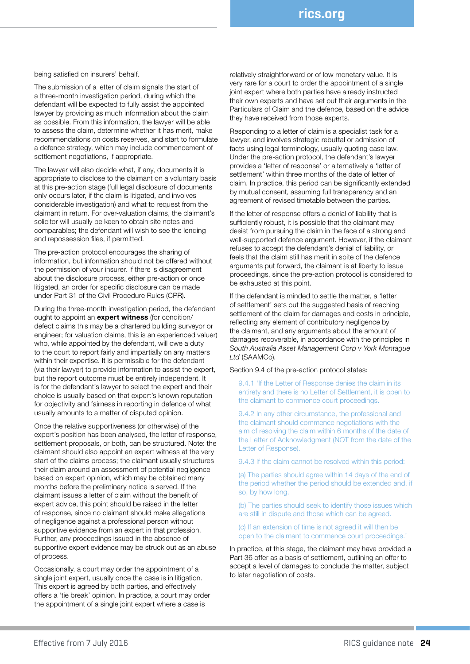Complaints handling **rics.org**

being satisfied on insurers' behalf.

The submission of a letter of claim signals the start of a three-month investigation period, during which the defendant will be expected to fully assist the appointed lawyer by providing as much information about the claim as possible. From this information, the lawyer will be able to assess the claim, determine whether it has merit, make recommendations on costs reserves, and start to formulate a defence strategy, which may include commencement of settlement negotiations, if appropriate.

The lawyer will also decide what, if any, documents it is appropriate to disclose to the claimant on a voluntary basis at this pre-action stage (full legal disclosure of documents only occurs later, if the claim is litigated, and involves considerable investigation) and what to request from the claimant in return. For over-valuation claims, the claimant's solicitor will usually be keen to obtain site notes and comparables; the defendant will wish to see the lending and repossession files, if permitted.

The pre-action protocol encourages the sharing of information, but information should not be offered without the permission of your insurer. If there is disagreement about the disclosure process, either pre-action or once litigated, an order for specific disclosure can be made under Part 31 of the Civil Procedure Rules (CPR).

During the three-month investigation period, the defendant ought to appoint an expert witness (for condition/ defect claims this may be a chartered building surveyor or engineer; for valuation claims, this is an experienced valuer) who, while appointed by the defendant, will owe a duty to the court to report fairly and impartially on any matters within their expertise. It is permissible for the defendant (via their lawyer) to provide information to assist the expert, but the report outcome must be entirely independent. It is for the defendant's lawyer to select the expert and their choice is usually based on that expert's known reputation for objectivity and fairness in reporting in defence of what usually amounts to a matter of disputed opinion.

Once the relative supportiveness (or otherwise) of the expert's position has been analysed, the letter of response, settlement proposals, or both, can be structured. Note: the claimant should also appoint an expert witness at the very start of the claims process; the claimant usually structures their claim around an assessment of potential negligence based on expert opinion, which may be obtained many months before the preliminary notice is served. If the claimant issues a letter of claim without the benefit of expert advice, this point should be raised in the letter of response, since no claimant should make allegations of negligence against a professional person without supportive evidence from an expert in that profession. Further, any proceedings issued in the absence of supportive expert evidence may be struck out as an abuse of process.

Occasionally, a court may order the appointment of a single joint expert, usually once the case is in litigation. This expert is agreed by both parties, and effectively offers a 'tie break' opinion. In practice, a court may order the appointment of a single joint expert where a case is

relatively straightforward or of low monetary value. It is very rare for a court to order the appointment of a single joint expert where both parties have already instructed their own experts and have set out their arguments in the Particulars of Claim and the defence, based on the advice they have received from those experts.

Responding to a letter of claim is a specialist task for a lawyer, and involves strategic rebuttal or admission of facts using legal terminology, usually quoting case law. Under the pre-action protocol, the defendant's lawyer provides a 'letter of response' or alternatively a 'letter of settlement' within three months of the date of letter of claim. In practice, this period can be significantly extended by mutual consent, assuming full transparency and an agreement of revised timetable between the parties.

If the letter of response offers a denial of liability that is sufficiently robust, it is possible that the claimant may desist from pursuing the claim in the face of a strong and well-supported defence argument. However, if the claimant refuses to accept the defendant's denial of liability, or feels that the claim still has merit in spite of the defence arguments put forward, the claimant is at liberty to issue proceedings, since the pre-action protocol is considered to be exhausted at this point.

If the defendant is minded to settle the matter, a 'letter of settlement' sets out the suggested basis of reaching settlement of the claim for damages and costs in principle, reflecting any element of contributory negligence by the claimant, and any arguments about the amount of damages recoverable, in accordance with the principles in *South Australia Asset Management Corp v York Montague Ltd* (SAAMCo).

#### Section 9.4 of the pre-action protocol states:

9.4.1 'If the Letter of Response denies the claim in its entirety and there is no Letter of Settlement, it is open to the claimant to commence court proceedings.

9.4.2 In any other circumstance, the professional and the claimant should commence negotiations with the aim of resolving the claim within 6 months of the date of the Letter of Acknowledgment (NOT from the date of the Letter of Response).

9.4.3 If the claim cannot be resolved within this period:

(a) The parties should agree within 14 days of the end of the period whether the period should be extended and, if so, by how long.

(b) The parties should seek to identify those issues which are still in dispute and those which can be agreed.

(c) If an extension of time is not agreed it will then be open to the claimant to commence court proceedings.'

In practice, at this stage, the claimant may have provided a Part 36 offer as a basis of settlement, outlining an offer to accept a level of damages to conclude the matter, subject to later negotiation of costs.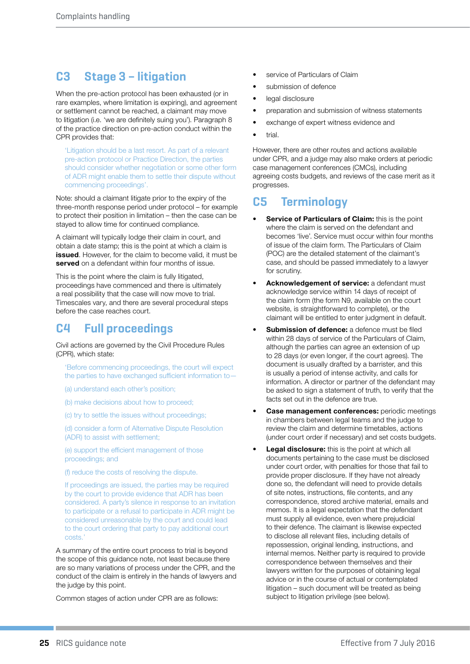### <span id="page-28-0"></span>**C3 Stage 3 – litigation**

When the pre-action protocol has been exhausted (or in rare examples, where limitation is expiring), and agreement or settlement cannot be reached, a claimant may move to litigation (i.e. 'we are definitely suing you'). Paragraph 8 of the practice direction on pre-action conduct within the CPR provides that:

'Litigation should be a last resort. As part of a relevant pre-action protocol or Practice Direction, the parties should consider whether negotiation or some other form of ADR might enable them to settle their dispute without commencing proceedings'.

Note: should a claimant litigate prior to the expiry of the three-month response period under protocol – for example to protect their position in limitation – then the case can be stayed to allow time for continued compliance.

A claimant will typically lodge their claim in court, and obtain a date stamp; this is the point at which a claim is issued. However, for the claim to become valid, it must be served on a defendant within four months of issue.

This is the point where the claim is fully litigated, proceedings have commenced and there is ultimately a real possibility that the case will now move to trial. Timescales vary, and there are several procedural steps before the case reaches court.

### **C4 Full proceedings**

#### Civil actions are governed by the Civil Procedure Rules (CPR), which state:

- 'Before commencing proceedings, the court will expect the parties to have exchanged sufficient information to—
- (a) understand each other's position;
- (b) make decisions about how to proceed;
- (c) try to settle the issues without proceedings;

(d) consider a form of Alternative Dispute Resolution (ADR) to assist with settlement;

(e) support the efficient management of those proceedings; and

(f) reduce the costs of resolving the dispute.

If proceedings are issued, the parties may be required by the court to provide evidence that ADR has been considered. A party's silence in response to an invitation to participate or a refusal to participate in ADR might be considered unreasonable by the court and could lead to the court ordering that party to pay additional court costs.'

A summary of the entire court process to trial is beyond the scope of this guidance note, not least because there are so many variations of process under the CPR, and the conduct of the claim is entirely in the hands of lawyers and the judge by this point.

Common stages of action under CPR are as follows:

- service of Particulars of Claim
- submission of defence
- legal disclosure
- preparation and submission of witness statements
- exchange of expert witness evidence and
- trial.

However, there are other routes and actions available under CPR, and a judge may also make orders at periodic case management conferences (CMCs), including agreeing costs budgets, and reviews of the case merit as it progresses.

### **C5 Terminology**

- Service of Particulars of Claim: this is the point where the claim is served on the defendant and becomes 'live'. Service must occur within four months of issue of the claim form. The Particulars of Claim (POC) are the detailed statement of the claimant's case, and should be passed immediately to a lawyer for scrutiny.
- Acknowledgement of service: a defendant must acknowledge service within 14 days of receipt of the claim form (the form N9, available on the court website, is straightforward to complete), or the claimant will be entitled to enter judgment in default.
- Submission of defence: a defence must be filed within 28 days of service of the Particulars of Claim, although the parties can agree an extension of up to 28 days (or even longer, if the court agrees). The document is usually drafted by a barrister, and this is usually a period of intense activity, and calls for information. A director or partner of the defendant may be asked to sign a statement of truth, to verify that the facts set out in the defence are true.
- Case management conferences: periodic meetings in chambers between legal teams and the judge to review the claim and determine timetables, actions (under court order if necessary) and set costs budgets.
- **Legal disclosure:** this is the point at which all documents pertaining to the case must be disclosed under court order, with penalties for those that fail to provide proper disclosure. If they have not already done so, the defendant will need to provide details of site notes, instructions, file contents, and any correspondence, stored archive material, emails and memos. It is a legal expectation that the defendant must supply all evidence, even where prejudicial to their defence. The claimant is likewise expected to disclose all relevant files, including details of repossession, original lending, instructions, and internal memos. Neither party is required to provide correspondence between themselves and their lawyers written for the purposes of obtaining legal advice or in the course of actual or contemplated litigation – such document will be treated as being subject to litigation privilege (see below).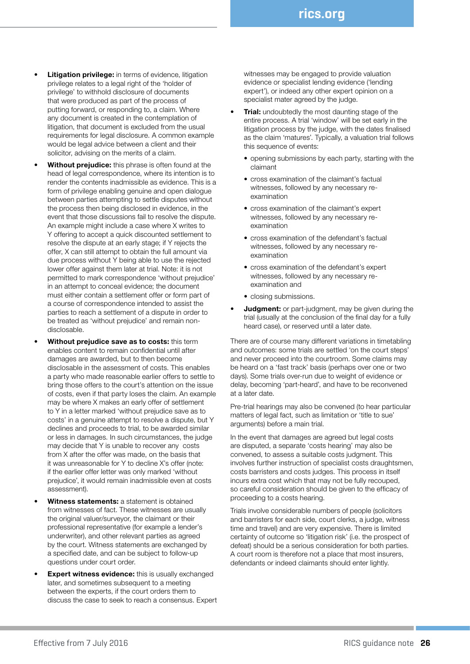- **Litigation privilege:** in terms of evidence, litigation privilege relates to a legal right of the 'holder of privilege' to withhold disclosure of documents that were produced as part of the process of putting forward, or responding to, a claim. Where any document is created in the contemplation of litigation, that document is excluded from the usual requirements for legal disclosure. A common example would be legal advice between a client and their solicitor, advising on the merits of a claim.
- Without prejudice: this phrase is often found at the head of legal correspondence, where its intention is to render the contents inadmissible as evidence. This is a form of privilege enabling genuine and open dialogue between parties attempting to settle disputes without the process then being disclosed in evidence, in the event that those discussions fail to resolve the dispute. An example might include a case where X writes to Y offering to accept a quick discounted settlement to resolve the dispute at an early stage; if Y rejects the offer, X can still attempt to obtain the full amount via due process without Y being able to use the rejected lower offer against them later at trial. Note: it is not permitted to mark correspondence 'without prejudice' in an attempt to conceal evidence; the document must either contain a settlement offer or form part of a course of correspondence intended to assist the parties to reach a settlement of a dispute in order to be treated as 'without prejudice' and remain nondisclosable.
- Without prejudice save as to costs: this term enables content to remain confidential until after damages are awarded, but to then become disclosable in the assessment of costs. This enables a party who made reasonable earlier offers to settle to bring those offers to the court's attention on the issue of costs, even if that party loses the claim. An example may be where X makes an early offer of settlement to Y in a letter marked 'without prejudice save as to costs' in a genuine attempt to resolve a dispute, but Y declines and proceeds to trial, to be awarded similar or less in damages. In such circumstances, the judge may decide that Y is unable to recover any costs from X after the offer was made, on the basis that it was unreasonable for Y to decline X's offer (note: if the earlier offer letter was only marked 'without prejudice', it would remain inadmissible even at costs assessment).
- Witness statements: a statement is obtained from witnesses of fact. These witnesses are usually the original valuer/surveyor, the claimant or their professional representative (for example a lender's underwriter), and other relevant parties as agreed by the court. Witness statements are exchanged by a specified date, and can be subject to follow-up questions under court order.
- **Expert witness evidence:** this is usually exchanged later, and sometimes subsequent to a meeting between the experts, if the court orders them to discuss the case to seek to reach a consensus. Expert

witnesses may be engaged to provide valuation evidence or specialist lending evidence ('lending expert'), or indeed any other expert opinion on a specialist mater agreed by the judge.

- Trial: undoubtedly the most daunting stage of the entire process. A trial 'window' will be set early in the litigation process by the judge, with the dates finalised as the claim 'matures'. Typically, a valuation trial follows this sequence of events:
	- opening submissions by each party, starting with the claimant
	- cross examination of the claimant's factual witnesses, followed by any necessary reexamination
	- cross examination of the claimant's expert witnesses, followed by any necessary reexamination
	- cross examination of the defendant's factual witnesses, followed by any necessary reexamination
	- cross examination of the defendant's expert witnesses, followed by any necessary reexamination and
	- closing submissions.
- **Judgment:** or part-judgment, may be given during the trial (usually at the conclusion of the final day for a fully heard case), or reserved until a later date.

There are of course many different variations in timetabling and outcomes: some trials are settled 'on the court steps' and never proceed into the courtroom. Some claims may be heard on a 'fast track' basis (perhaps over one or two days). Some trials over-run due to weight of evidence or delay, becoming 'part-heard', and have to be reconvened at a later date.

Pre-trial hearings may also be convened (to hear particular matters of legal fact, such as limitation or 'title to sue' arguments) before a main trial.

In the event that damages are agreed but legal costs are disputed, a separate 'costs hearing' may also be convened, to assess a suitable costs judgment. This involves further instruction of specialist costs draughtsmen, costs barristers and costs judges. This process in itself incurs extra cost which that may not be fully recouped, so careful consideration should be given to the efficacy of proceeding to a costs hearing.

Trials involve considerable numbers of people (solicitors and barristers for each side, court clerks, a judge, witness time and travel) and are very expensive. There is limited certainty of outcome so 'litigation risk' (i.e. the prospect of defeat) should be a serious consideration for both parties. A court room is therefore not a place that most insurers, defendants or indeed claimants should enter lightly.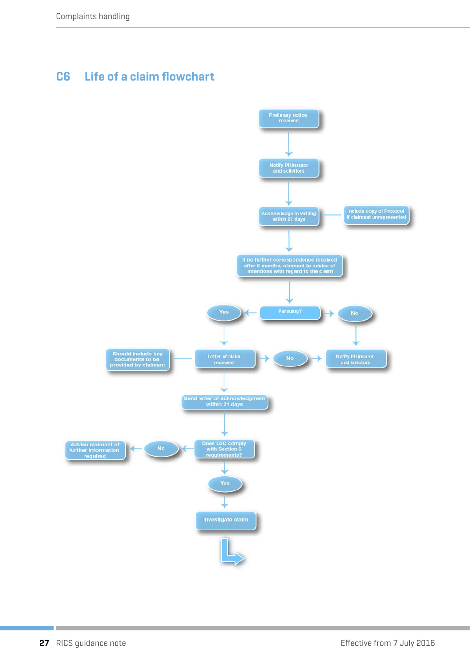### <span id="page-30-0"></span>**C6 Life of a claim flowchart**

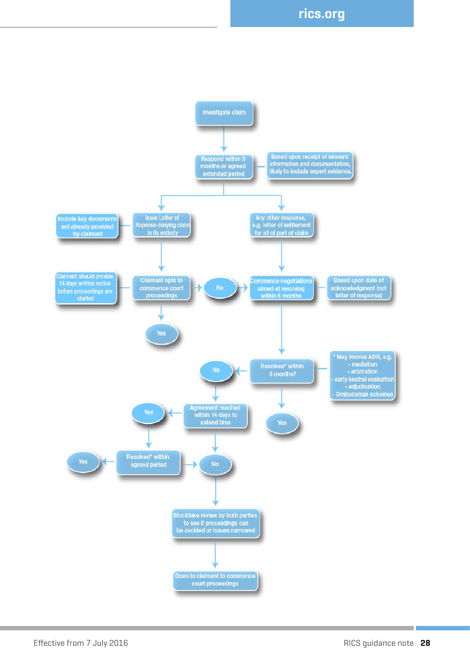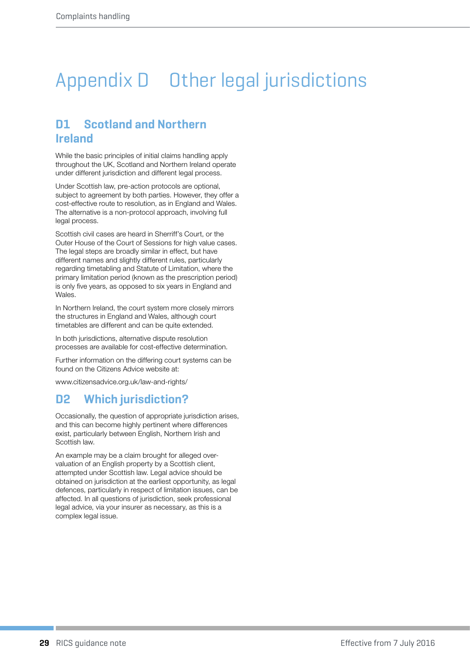# <span id="page-32-0"></span>Appendix D Other legal jurisdictions

### **D1 Scotland and Northern Ireland**

While the basic principles of initial claims handling apply throughout the UK, Scotland and Northern Ireland operate under different jurisdiction and different legal process.

Under Scottish law, pre-action protocols are optional, subject to agreement by both parties. However, they offer a cost-effective route to resolution, as in England and Wales. The alternative is a non-protocol approach, involving full legal process.

Scottish civil cases are heard in Sherriff's Court, or the Outer House of the Court of Sessions for high value cases. The legal steps are broadly similar in effect, but have different names and slightly different rules, particularly regarding timetabling and Statute of Limitation, where the primary limitation period (known as the prescription period) is only five years, as opposed to six years in England and Wales.

In Northern Ireland, the court system more closely mirrors the structures in England and Wales, although court timetables are different and can be quite extended.

In both jurisdictions, alternative dispute resolution processes are available for cost-effective determination.

Further information on the differing court systems can be found on the Citizens Advice website at:

www.citizensadvice.org.uk/law-and-rights/

### **D2 Which jurisdiction?**

Occasionally, the question of appropriate jurisdiction arises, and this can become highly pertinent where differences exist, particularly between English, Northern Irish and Scottish law.

An example may be a claim brought for alleged overvaluation of an English property by a Scottish client, attempted under Scottish law. Legal advice should be obtained on jurisdiction at the earliest opportunity, as legal defences, particularly in respect of limitation issues, can be affected. In all questions of jurisdiction, seek professional legal advice, via your insurer as necessary, as this is a complex legal issue.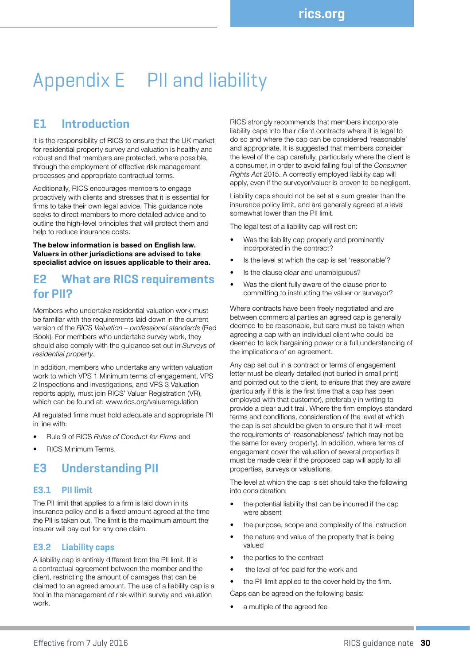# <span id="page-33-0"></span>Appendix E PII and liability

### **E1 Introduction**

It is the responsibility of RICS to ensure that the UK market for residential property survey and valuation is healthy and robust and that members are protected, where possible, through the employment of effective risk management processes and appropriate contractual terms.

Additionally, RICS encourages members to engage proactively with clients and stresses that it is essential for firms to take their own legal advice. This guidance note seeks to direct members to more detailed advice and to outline the high-level principles that will protect them and help to reduce insurance costs.

The below information is based on English law. Valuers in other jurisdictions are advised to take specialist advice on issues applicable to their area.

### **E2 What are RICS requirements for PII?**

Members who undertake residential valuation work must be familiar with the requirements laid down in the current version of the *RICS Valuation – professional standards* (Red Book). For members who undertake survey work, they should also comply with the guidance set out in *Surveys of residential property.*

In addition, members who undertake any written valuation work to which VPS 1 Minimum terms of engagement, VPS 2 Inspections and investigations, and VPS 3 Valuation reports apply, must join RICS' Valuer Registration (VR), which can be found at: www.rics.org/valuerregulation

All regulated firms must hold adequate and appropriate PII in line with:

- Rule 9 of RICS *Rules of Conduct for Firms* and
- RICS Minimum Terms.

### **E3 Understanding PII**

### **E3.1 PII limit**

The PII limit that applies to a firm is laid down in its insurance policy and is a fixed amount agreed at the time the PII is taken out. The limit is the maximum amount the insurer will pay out for any one claim.

### **E3.2 Liability caps**

A liability cap is entirely different from the PII limit. It is a contractual agreement between the member and the client, restricting the amount of damages that can be claimed to an agreed amount. The use of a liability cap is a tool in the management of risk within survey and valuation work.

RICS strongly recommends that members incorporate liability caps into their client contracts where it is legal to do so and where the cap can be considered 'reasonable' and appropriate. It is suggested that members consider the level of the cap carefully, particularly where the client is a consumer, in order to avoid falling foul of the *Consumer Rights Act* 2015. A correctly employed liability cap will apply, even if the surveyor/valuer is proven to be negligent.

Liability caps should not be set at a sum greater than the insurance policy limit, and are generally agreed at a level somewhat lower than the PII limit.

The legal test of a liability cap will rest on:

- Was the liability cap properly and prominently incorporated in the contract?
- Is the level at which the cap is set 'reasonable'?
- Is the clause clear and unambiguous?
- Was the client fully aware of the clause prior to committing to instructing the valuer or surveyor?

Where contracts have been freely negotiated and are between commercial parties an agreed cap is generally deemed to be reasonable, but care must be taken when agreeing a cap with an individual client who could be deemed to lack bargaining power or a full understanding of the implications of an agreement.

Any cap set out in a contract or terms of engagement letter must be clearly detailed (not buried in small print) and pointed out to the client, to ensure that they are aware (particularly if this is the first time that a cap has been employed with that customer), preferably in writing to provide a clear audit trail. Where the firm employs standard terms and conditions, consideration of the level at which the cap is set should be given to ensure that it will meet the requirements of 'reasonableness' (which may not be the same for every property). In addition, where terms of engagement cover the valuation of several properties it must be made clear if the proposed cap will apply to all properties, surveys or valuations.

The level at which the cap is set should take the following into consideration:

- the potential liability that can be incurred if the cap were absent
- the purpose, scope and complexity of the instruction
- the nature and value of the property that is being valued
- the parties to the contract
- the level of fee paid for the work and
- the PII limit applied to the cover held by the firm.
- Caps can be agreed on the following basis:
- a multiple of the agreed fee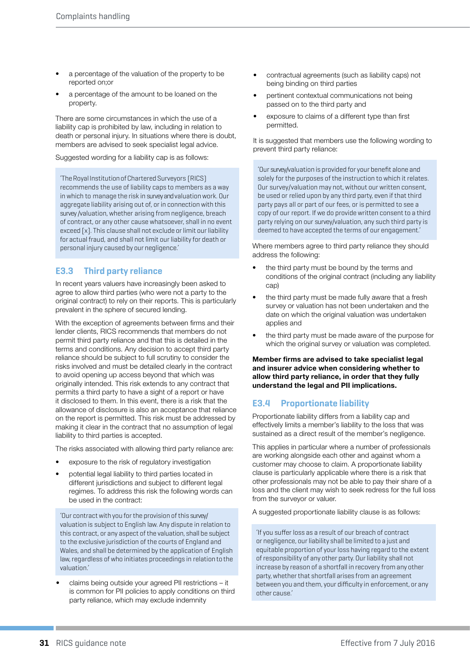- a percentage of the valuation of the property to be reported on;or
- a percentage of the amount to be loaned on the property.

There are some circumstances in which the use of a liability cap is prohibited by law, including in relation to death or personal injury. In situations where there is doubt, members are advised to seek specialist legal advice.

Suggested wording for a liability cap is as follows:

'The Royal Institution of Chartered Surveyors (RICS) recommends the use of liability caps to members as a way in which to manage the risk in survey and valuation work. Our aggregate liability arising out of, or in connection with this survey /valuation, whether arising from negligence, breach of contract, or any other cause whatsoever, shall in no event exceed [x]. This clause shall not exclude or limit our liability for actual fraud, and shall not limit our liability for death or personal injury caused by our negligence.'

### **E3.3 Third party reliance**

In recent years valuers have increasingly been asked to agree to allow third parties (who were not a party to the original contract) to rely on their reports. This is particularly prevalent in the sphere of secured lending.

With the exception of agreements between firms and their lender clients, RICS recommends that members do not permit third party reliance and that this is detailed in the terms and conditions. Any decision to accept third party reliance should be subject to full scrutiny to consider the risks involved and must be detailed clearly in the contract to avoid opening up access beyond that which was originally intended. This risk extends to any contract that permits a third party to have a sight of a report or have it disclosed to them. In this event, there is a risk that the allowance of disclosure is also an acceptance that reliance on the report is permitted. This risk must be addressed by making it clear in the contract that no assumption of legal liability to third parties is accepted.

The risks associated with allowing third party reliance are:

- exposure to the risk of regulatory investigation
- potential legal liability to third parties located in different jurisdictions and subject to different legal regimes. To address this risk the following words can be used in the contract:

'Our contract with you for the provision of this survey/ valuation is subject to English law. Any dispute in relation to this contract, or any aspect of the valuation, shall be subject to the exclusive jurisdiction of the courts of England and Wales, and shall be determined by the application of English law, regardless of who initiates proceedings in relation to the valuation.'

• claims being outside your agreed PII restrictions – it is common for PII policies to apply conditions on third party reliance, which may exclude indemnity

- contractual agreements (such as liability caps) not being binding on third parties
- pertinent contextual communications not being passed on to the third party and
- exposure to claims of a different type than first permitted.

It is suggested that members use the following wording to prevent third party reliance:

'Our survey/valuation is provided for your benefit alone and solely for the purposes of the instruction to which it relates. Our survey/valuation may not, without our written consent, be used or relied upon by any third party, even if that third party pays all or part of our fees, or is permitted to see a copy of our report. If we do provide written consent to a third party relying on our survey/valuation, any such third party is deemed to have accepted the terms of our engagement.'

Where members agree to third party reliance they should address the following:

- the third party must be bound by the terms and conditions of the original contract (including any liability cap)
- the third party must be made fully aware that a fresh survey or valuation has not been undertaken and the date on which the original valuation was undertaken applies and
- the third party must be made aware of the purpose for which the original survey or valuation was completed.

Member firms are advised to take specialist legal and insurer advice when considering whether to allow third party reliance, in order that they fully understand the legal and PII implications.

### **E3.4 Proportionate liability**

Proportionate liability differs from a liability cap and effectively limits a member's liability to the loss that was sustained as a direct result of the member's negligence.

This applies in particular where a number of professionals are working alongside each other and against whom a customer may choose to claim. A proportionate liability clause is particularly applicable where there is a risk that other professionals may not be able to pay their share of a loss and the client may wish to seek redress for the full loss from the surveyor or valuer.

A suggested proportionate liability clause is as follows:

'If you suffer loss as a result of our breach of contract or negligence, our liability shall be limited to a just and equitable proportion of your loss having regard to the extent of responsibility of any other party. Our liability shall not increase by reason of a shortfall in recovery from any other party, whether that shortfall arises from an agreement between you and them, your difficulty in enforcement, or any other cause.'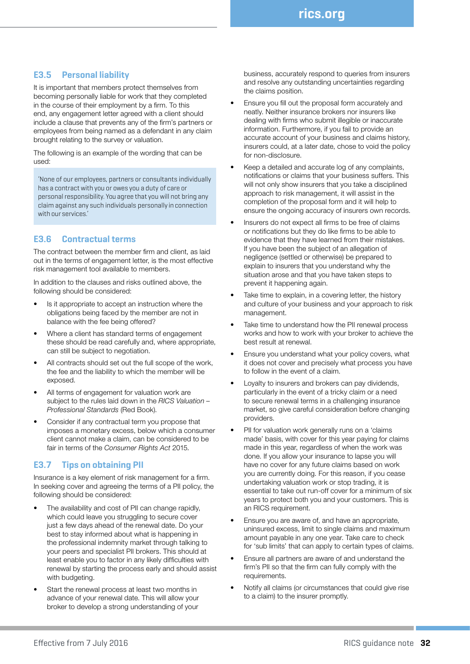### **E3.5 Personal liability**

It is important that members protect themselves from becoming personally liable for work that they completed in the course of their employment by a firm. To this end, any engagement letter agreed with a client should include a clause that prevents any of the firm's partners or employees from being named as a defendant in any claim brought relating to the survey or valuation.

The following is an example of the wording that can be used:

'None of our employees, partners or consultants individually has a contract with you or owes you a duty of care or personal responsibility. You agree that you will not bring any claim against any such individuals personally in connection with our services.'

### **E3.6 Contractual terms**

The contract between the member firm and client, as laid out in the terms of engagement letter, is the most effective risk management tool available to members.

In addition to the clauses and risks outlined above, the following should be considered:

- Is it appropriate to accept an instruction where the obligations being faced by the member are not in balance with the fee being offered?
- Where a client has standard terms of engagement these should be read carefully and, where appropriate, can still be subject to negotiation.
- All contracts should set out the full scope of the work, the fee and the liability to which the member will be exposed.
- All terms of engagement for valuation work are subject to the rules laid down in the *RICS Valuation – Professional Standards* (Red Book).
- Consider if any contractual term you propose that imposes a monetary excess, below which a consumer client cannot make a claim, can be considered to be fair in terms of the *Consumer Rights Act* 2015*.*

### **E3.7 Tips on obtaining PII**

Insurance is a key element of risk management for a firm. In seeking cover and agreeing the terms of a PII policy, the following should be considered:

- The availability and cost of PII can change rapidly, which could leave you struggling to secure cover just a few days ahead of the renewal date. Do your best to stay informed about what is happening in the professional indemnity market through talking to your peers and specialist PII brokers. This should at least enable you to factor in any likely difficulties with renewal by starting the process early and should assist with budgeting.
- Start the renewal process at least two months in advance of your renewal date. This will allow your broker to develop a strong understanding of your

business, accurately respond to queries from insurers and resolve any outstanding uncertainties regarding the claims position.

- Ensure you fill out the proposal form accurately and neatly. Neither insurance brokers nor insurers like dealing with firms who submit illegible or inaccurate information. Furthermore, if you fail to provide an accurate account of your business and claims history, insurers could, at a later date, chose to void the policy for non-disclosure.
- Keep a detailed and accurate log of any complaints, notifications or claims that your business suffers. This will not only show insurers that you take a disciplined approach to risk management, it will assist in the completion of the proposal form and it will help to ensure the ongoing accuracy of insurers own records.
- Insurers do not expect all firms to be free of claims or notifications but they do like firms to be able to evidence that they have learned from their mistakes. If you have been the subject of an allegation of negligence (settled or otherwise) be prepared to explain to insurers that you understand why the situation arose and that you have taken steps to prevent it happening again.
- Take time to explain, in a covering letter, the history and culture of your business and your approach to risk management.
- Take time to understand how the PII renewal process works and how to work with your broker to achieve the best result at renewal.
- Ensure you understand what your policy covers, what it does not cover and precisely what process you have to follow in the event of a claim.
- Loyalty to insurers and brokers can pay dividends, particularly in the event of a tricky claim or a need to secure renewal terms in a challenging insurance market, so give careful consideration before changing providers.
- PII for valuation work generally runs on a 'claims' made' basis, with cover for this year paying for claims made in this year, regardless of when the work was done. If you allow your insurance to lapse you will have no cover for any future claims based on work you are currently doing. For this reason, if you cease undertaking valuation work or stop trading, it is essential to take out run-off cover for a minimum of six years to protect both you and your customers. This is an RICS requirement.
- Ensure you are aware of, and have an appropriate, uninsured excess, limit to single claims and maximum amount payable in any one year. Take care to check for 'sub limits' that can apply to certain types of claims.
- Ensure all partners are aware of and understand the firm's PII so that the firm can fully comply with the requirements.
- Notify all claims (or circumstances that could give rise to a claim) to the insurer promptly.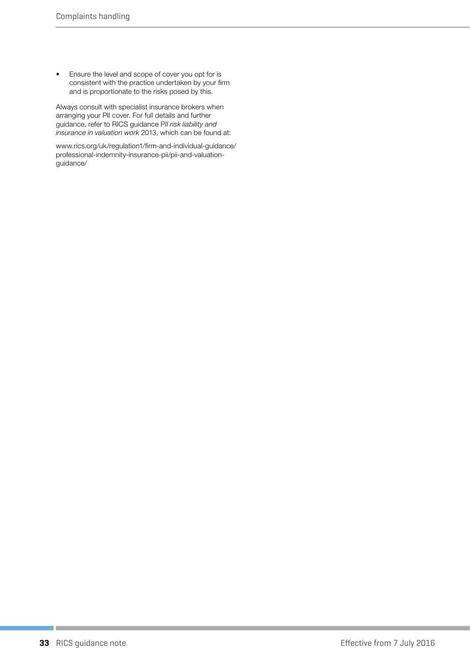• Ensure the level and scope of cover you opt for is consistent with the practice undertaken by your firm and is proportionate to the risks posed by this.

Always consult with specialist insurance brokers when arranging your PII cover. For full details and further guidance, refer to RICS guidance P*II risk liability and insurance in valuation work* 2013, which can be found at:

www.rics.org/uk/regulation1/firm-and-individual-guidance/ professional-indemnity-insurance-pii/pii-and-valuationguidance/